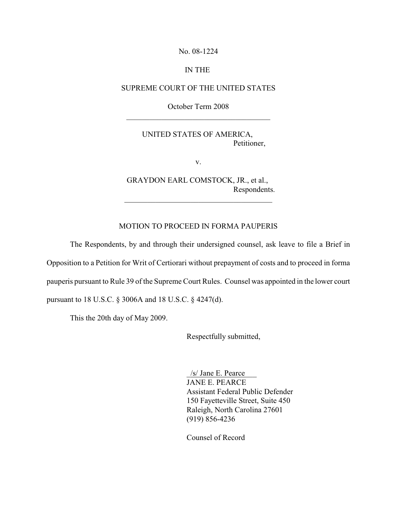No. 08-1224

#### IN THE

#### SUPREME COURT OF THE UNITED STATES

October Term 2008

 $\overline{\phantom{a}}$  ,  $\overline{\phantom{a}}$  ,  $\overline{\phantom{a}}$  ,  $\overline{\phantom{a}}$  ,  $\overline{\phantom{a}}$  ,  $\overline{\phantom{a}}$  ,  $\overline{\phantom{a}}$  ,  $\overline{\phantom{a}}$  ,  $\overline{\phantom{a}}$  ,  $\overline{\phantom{a}}$  ,  $\overline{\phantom{a}}$  ,  $\overline{\phantom{a}}$  ,  $\overline{\phantom{a}}$  ,  $\overline{\phantom{a}}$  ,  $\overline{\phantom{a}}$  ,  $\overline{\phantom{a}}$ 

#### UNITED STATES OF AMERICA, Petitioner,

v.

GRAYDON EARL COMSTOCK, JR., et al., Respondents.

\_\_\_\_\_\_\_\_\_\_\_\_\_\_\_\_\_\_\_\_\_\_\_\_\_\_\_\_\_\_\_\_\_\_\_\_\_\_

### MOTION TO PROCEED IN FORMA PAUPERIS

The Respondents, by and through their undersigned counsel, ask leave to file a Brief in Opposition to a Petition for Writ of Certiorari without prepayment of costs and to proceed in forma

pauperis pursuant to Rule 39 of the Supreme Court Rules. Counsel was appointed in the lower court

pursuant to 18 U.S.C. § 3006A and 18 U.S.C. § 4247(d).

This the 20th day of May 2009.

Respectfully submitted,

\_/s/ Jane E. Pearce\_\_\_ JANE E. PEARCE Assistant Federal Public Defender 150 Fayetteville Street, Suite 450 Raleigh, North Carolina 27601 (919) 856-4236

Counsel of Record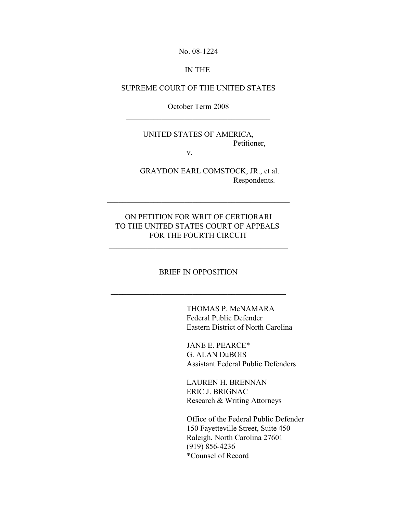No. 08-1224

#### IN THE

#### SUPREME COURT OF THE UNITED STATES

October Term 2008 \_\_\_\_\_\_\_\_\_\_\_\_\_\_\_\_\_\_\_\_\_\_\_\_\_\_\_\_\_\_\_\_\_\_\_\_\_

# UNITED STATES OF AMERICA, Petitioner,

v.

GRAYDON EARL COMSTOCK, JR., et al. Respondents.

# ON PETITION FOR WRIT OF CERTIORARI TO THE UNITED STATES COURT OF APPEALS FOR THE FOURTH CIRCUIT

\_\_\_\_\_\_\_\_\_\_\_\_\_\_\_\_\_\_\_\_\_\_\_\_\_\_\_\_\_\_\_\_\_\_\_\_\_\_\_\_\_\_\_\_\_\_\_

#### BRIEF IN OPPOSITION

\_\_\_\_\_\_\_\_\_\_\_\_\_\_\_\_\_\_\_\_\_\_\_\_\_\_\_\_\_\_\_\_\_\_\_\_\_\_\_\_\_\_\_\_\_

THOMAS P. McNAMARA Federal Public Defender Eastern District of North Carolina

JANE E. PEARCE\* G. ALAN DuBOIS Assistant Federal Public Defenders

LAUREN H. BRENNAN ERIC J. BRIGNAC Research & Writing Attorneys

Office of the Federal Public Defender 150 Fayetteville Street, Suite 450 Raleigh, North Carolina 27601 (919) 856-4236 \*Counsel of Record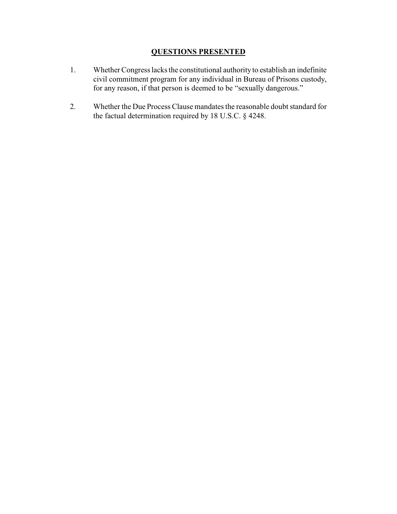# **QUESTIONS PRESENTED**

- 1. Whether Congress lacks the constitutional authority to establish an indefinite civil commitment program for any individual in Bureau of Prisons custody, for any reason, if that person is deemed to be "sexually dangerous."
- 2. Whether the Due Process Clause mandates the reasonable doubt standard for the factual determination required by 18 U.S.C. § 4248.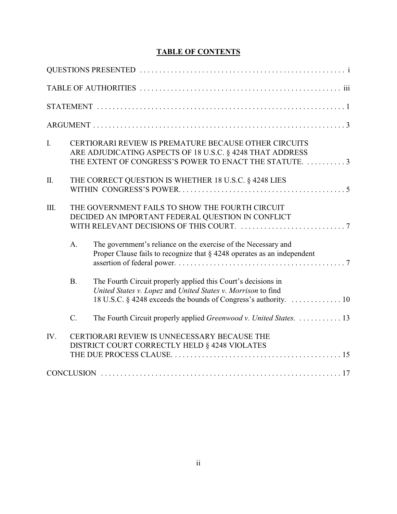# **TABLE OF CONTENTS**

| I.        | CERTIORARI REVIEW IS PREMATURE BECAUSE OTHER CIRCUITS<br>ARE ADJUDICATING ASPECTS OF 18 U.S.C. § 4248 THAT ADDRESS<br>THE EXTENT OF CONGRESS'S POWER TO ENACT THE STATUTE. 3 |                                                                                                                                                                                                  |  |
|-----------|------------------------------------------------------------------------------------------------------------------------------------------------------------------------------|--------------------------------------------------------------------------------------------------------------------------------------------------------------------------------------------------|--|
| $\prod$ . | THE CORRECT QUESTION IS WHETHER 18 U.S.C. § 4248 LIES                                                                                                                        |                                                                                                                                                                                                  |  |
| III.      | THE GOVERNMENT FAILS TO SHOW THE FOURTH CIRCUIT<br>DECIDED AN IMPORTANT FEDERAL QUESTION IN CONFLICT                                                                         |                                                                                                                                                                                                  |  |
|           | A.                                                                                                                                                                           | The government's reliance on the exercise of the Necessary and<br>Proper Clause fails to recognize that $\S$ 4248 operates as an independent                                                     |  |
|           | <b>B.</b>                                                                                                                                                                    | The Fourth Circuit properly applied this Court's decisions in<br>United States v. Lopez and United States v. Morrison to find<br>18 U.S.C. § 4248 exceeds the bounds of Congress's authority. 10 |  |
|           | C.                                                                                                                                                                           | The Fourth Circuit properly applied Greenwood v. United States.  13                                                                                                                              |  |
| IV.       |                                                                                                                                                                              | CERTIORARI REVIEW IS UNNECESSARY BECAUSE THE<br>DISTRICT COURT CORRECTLY HELD § 4248 VIOLATES                                                                                                    |  |
|           |                                                                                                                                                                              |                                                                                                                                                                                                  |  |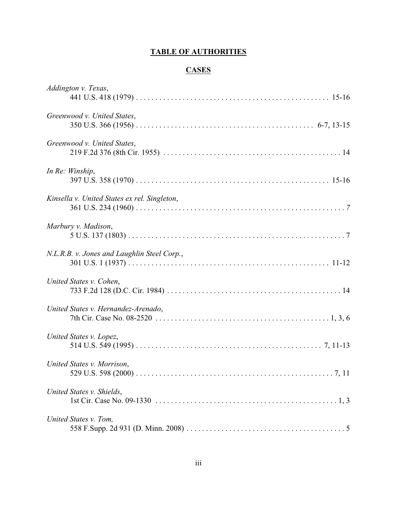# **TABLE OF AUTHORITIES**

# **CASES**

| Addington v. Texas,                          |
|----------------------------------------------|
| Greenwood v. United States,                  |
| Greenwood v. United States,                  |
| In Re: Winship,                              |
| Kinsella v. United States ex rel. Singleton, |
| Marbury v. Madison,                          |
| N.L.R.B. v. Jones and Laughlin Steel Corp.,  |
| United States v. Cohen,                      |
| United States v. Hernandez-Arenado,          |
| United States v. Lopez,                      |
| United States v. Morrison,                   |
| United States v. Shields,                    |
| United States v. Tom,                        |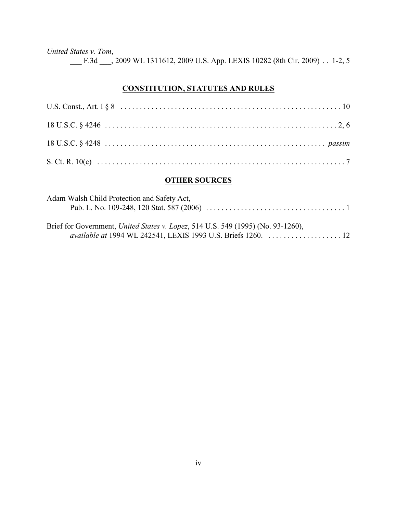*United States v. Tom*,

\_\_\_ F.3d \_\_\_, 2009 WL 1311612, 2009 U.S. App. LEXIS 10282 (8th Cir. 2009) . . 1-2, 5

### **CONSTITUTION, STATUTES AND RULES**

## **OTHER SOURCES**

| Adam Walsh Child Protection and Safety Act, |  |
|---------------------------------------------|--|
|                                             |  |
|                                             |  |

Brief for Government, *United States v. Lopez*, 514 U.S. 549 (1995) (No. 93-1260), *available at* 1994 WL 242541, LEXIS 1993 U.S. Briefs 1260. . . . . . . . . . . . . . . . . . . . 12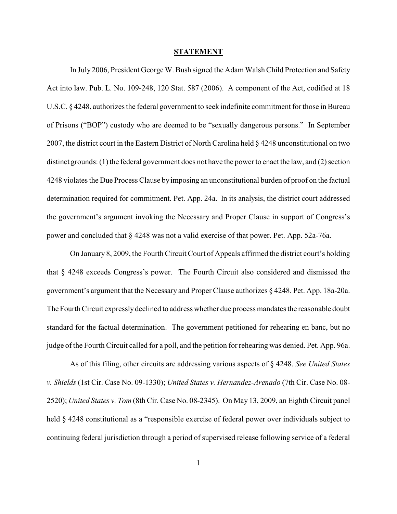#### **STATEMENT**

In July 2006, President George W. Bush signed the Adam Walsh Child Protection and Safety Act into law. Pub. L. No. 109-248, 120 Stat. 587 (2006). A component of the Act, codified at 18 U.S.C. § 4248, authorizes the federal government to seek indefinite commitment for those in Bureau of Prisons ("BOP") custody who are deemed to be "sexually dangerous persons." In September 2007, the district court in the Eastern District of North Carolina held § 4248 unconstitutional on two distinct grounds: (1) the federal government does not have the power to enact the law, and (2) section 4248 violates the Due Process Clause byimposing an unconstitutional burden of proof on the factual determination required for commitment. Pet. App. 24a. In its analysis, the district court addressed the government's argument invoking the Necessary and Proper Clause in support of Congress's power and concluded that § 4248 was not a valid exercise of that power. Pet. App. 52a-76a.

On January 8, 2009, the Fourth Circuit Court of Appeals affirmed the district court's holding that § 4248 exceeds Congress's power. The Fourth Circuit also considered and dismissed the government's argument that the Necessary and Proper Clause authorizes § 4248. Pet. App. 18a-20a. The Fourth Circuit expressly declined to address whether due process mandates the reasonable doubt standard for the factual determination. The government petitioned for rehearing en banc, but no judge of the Fourth Circuit called for a poll, and the petition for rehearing was denied. Pet. App. 96a.

As of this filing, other circuits are addressing various aspects of § 4248. *See United States v. Shields* (1st Cir. Case No. 09-1330); *United States v. Hernandez-Arenado* (7th Cir. Case No. 08- 2520); *United States v. Tom* (8th Cir. Case No. 08-2345). On May 13, 2009, an Eighth Circuit panel held § 4248 constitutional as a "responsible exercise of federal power over individuals subject to continuing federal jurisdiction through a period of supervised release following service of a federal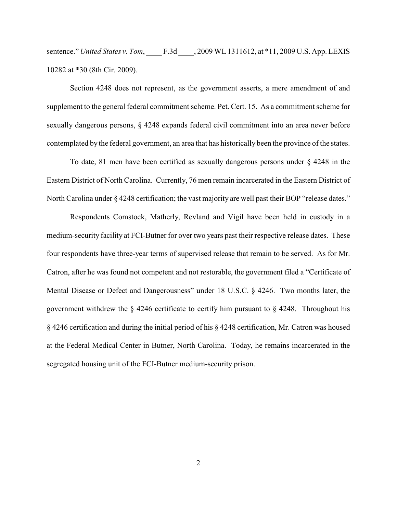sentence." *United States v. Tom*, F.3d , 2009 WL 1311612, at \*11, 2009 U.S. App. LEXIS 10282 at \*30 (8th Cir. 2009).

Section 4248 does not represent, as the government asserts, a mere amendment of and supplement to the general federal commitment scheme. Pet. Cert. 15. As a commitment scheme for sexually dangerous persons, § 4248 expands federal civil commitment into an area never before contemplated by the federal government, an area that has historically been the province of the states.

To date, 81 men have been certified as sexually dangerous persons under § 4248 in the Eastern District of North Carolina. Currently, 76 men remain incarcerated in the Eastern District of North Carolina under § 4248 certification; the vast majority are well past their BOP "release dates."

Respondents Comstock, Matherly, Revland and Vigil have been held in custody in a medium-security facility at FCI-Butner for over two years past their respective release dates. These four respondents have three-year terms of supervised release that remain to be served. As for Mr. Catron, after he was found not competent and not restorable, the government filed a "Certificate of Mental Disease or Defect and Dangerousness" under 18 U.S.C. § 4246. Two months later, the government withdrew the  $\S$  4246 certificate to certify him pursuant to  $\S$  4248. Throughout his § 4246 certification and during the initial period of his § 4248 certification, Mr. Catron was housed at the Federal Medical Center in Butner, North Carolina. Today, he remains incarcerated in the segregated housing unit of the FCI-Butner medium-security prison.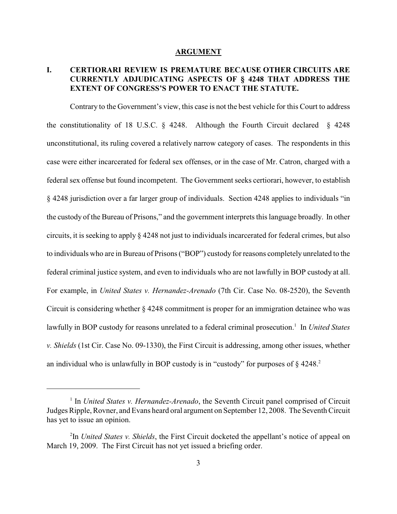#### **ARGUMENT**

# **I. CERTIORARI REVIEW IS PREMATURE BECAUSE OTHER CIRCUITS ARE CURRENTLY ADJUDICATING ASPECTS OF § 4248 THAT ADDRESS THE EXTENT OF CONGRESS'S POWER TO ENACT THE STATUTE.**

Contrary to the Government's view, this case is not the best vehicle for this Court to address the constitutionality of 18 U.S.C. § 4248. Although the Fourth Circuit declared § 4248 unconstitutional, its ruling covered a relatively narrow category of cases. The respondents in this case were either incarcerated for federal sex offenses, or in the case of Mr. Catron, charged with a federal sex offense but found incompetent. The Government seeks certiorari, however, to establish § 4248 jurisdiction over a far larger group of individuals. Section 4248 applies to individuals "in the custody of the Bureau of Prisons," and the government interprets this language broadly. In other circuits, it is seeking to apply § 4248 not just to individuals incarcerated for federal crimes, but also to individuals who are in Bureau of Prisons ("BOP") custody for reasons completely unrelated to the federal criminal justice system, and even to individuals who are not lawfully in BOP custody at all. For example, in *United States v. Hernandez-Arenado* (7th Cir. Case No. 08-2520), the Seventh Circuit is considering whether § 4248 commitment is proper for an immigration detainee who was lawfully in BOP custody for reasons unrelated to a federal criminal prosecution.<sup>1</sup> In *United States v. Shields* (1st Cir. Case No. 09-1330), the First Circuit is addressing, among other issues, whether an individual who is unlawfully in BOP custody is in "custody" for purposes of  $\S$  4248.<sup>2</sup>

<sup>&</sup>lt;sup>1</sup> In *United States v. Hernandez-Arenado*, the Seventh Circuit panel comprised of Circuit Judges Ripple, Rovner, and Evans heard oral argument on September 12, 2008. The Seventh Circuit has yet to issue an opinion.

<sup>&</sup>lt;sup>2</sup>In *United States v. Shields*, the First Circuit docketed the appellant's notice of appeal on March 19, 2009. The First Circuit has not yet issued a briefing order.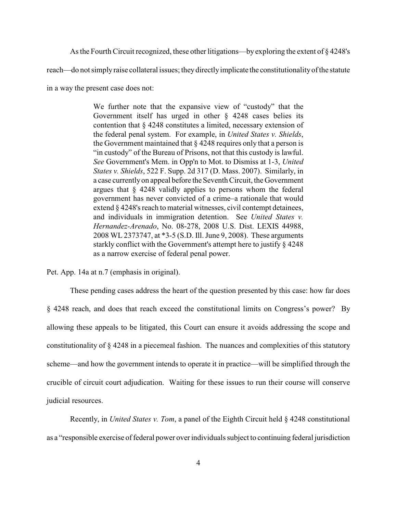Asthe Fourth Circuit recognized, these other litigations—by exploring the extent of § 4248's

reach—do not simply raise collateral issues; they directly implicate the constitutionality of the statute

in a way the present case does not:

We further note that the expansive view of "custody" that the Government itself has urged in other § 4248 cases belies its contention that § 4248 constitutes a limited, necessary extension of the federal penal system. For example, in *United States v. Shields*, the Government maintained that  $\S 4248$  requires only that a person is "in custody" of the Bureau of Prisons, not that this custody is lawful. *See* Government's Mem. in Opp'n to Mot. to Dismiss at 1-3, *United States v. Shields*, 522 F. Supp. 2d 317 (D. Mass. 2007). Similarly, in a case currently on appeal before the Seventh Circuit, the Government argues that § 4248 validly applies to persons whom the federal government has never convicted of a crime–a rationale that would extend § 4248's reach to material witnesses, civil contempt detainees, and individuals in immigration detention. See *United States v. Hernandez-Arenado*, No. 08-278, 2008 U.S. Dist. LEXIS 44988, 2008 WL 2373747, at \*3-5 (S.D. Ill.June 9, 2008). These arguments starkly conflict with the Government's attempt here to justify § 4248 as a narrow exercise of federal penal power.

Pet. App. 14a at n.7 (emphasis in original).

These pending cases address the heart of the question presented by this case: how far does § 4248 reach, and does that reach exceed the constitutional limits on Congress's power? By allowing these appeals to be litigated, this Court can ensure it avoids addressing the scope and constitutionality of § 4248 in a piecemeal fashion. The nuances and complexities of this statutory scheme—and how the government intends to operate it in practice—will be simplified through the crucible of circuit court adjudication. Waiting for these issues to run their course will conserve judicial resources.

Recently, in *United States v. Tom*, a panel of the Eighth Circuit held § 4248 constitutional as a "responsible exercise of federal power over individuals subject to continuing federal jurisdiction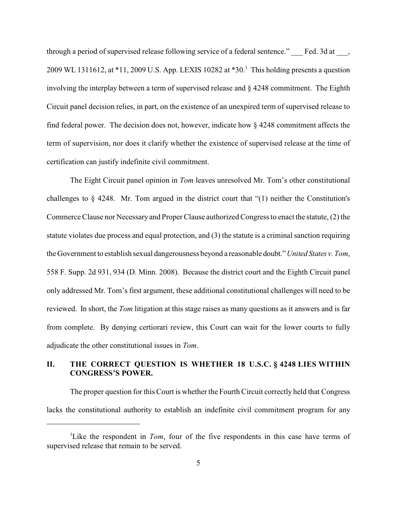through a period of supervised release following service of a federal sentence." Fed. 3d at  $\cdot$ , 2009 WL 1311612, at  $*11$ , 2009 U.S. App. LEXIS 10282 at  $*30<sup>3</sup>$ . This holding presents a question involving the interplay between a term of supervised release and § 4248 commitment. The Eighth Circuit panel decision relies, in part, on the existence of an unexpired term of supervised release to find federal power. The decision does not, however, indicate how § 4248 commitment affects the term of supervision, nor does it clarify whether the existence of supervised release at the time of certification can justify indefinite civil commitment.

The Eight Circuit panel opinion in *Tom* leaves unresolved Mr. Tom's other constitutional challenges to § 4248. Mr. Tom argued in the district court that "(1) neither the Constitution's Commerce Clause nor Necessary and Proper Clause authorized Congress to enact the statute, (2) the statute violates due process and equal protection, and (3) the statute is a criminal sanction requiring the Government to establish sexual dangerousness beyond a reasonable doubt." *United States v. Tom*, 558 F. Supp. 2d 931, 934 (D. Minn. 2008). Because the district court and the Eighth Circuit panel only addressed Mr. Tom's first argument, these additional constitutional challenges will need to be reviewed. In short, the *Tom* litigation at this stage raises as many questions as it answers and is far from complete. By denying certiorari review, this Court can wait for the lower courts to fully adjudicate the other constitutional issues in *Tom*.

# **II. THE CORRECT QUESTION IS WHETHER 18 U.S.C. § 4248 LIES WITHIN CONGRESS'S POWER.**

The proper question for this Court is whether the Fourth Circuit correctly held that Congress lacks the constitutional authority to establish an indefinite civil commitment program for any

<sup>&</sup>lt;sup>3</sup> Like the respondent in *Tom*, four of the five respondents in this case have terms of supervised release that remain to be served.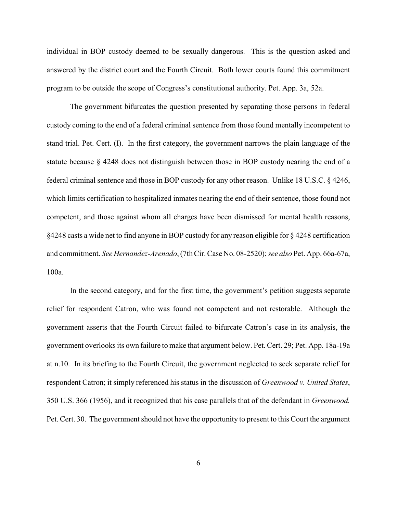individual in BOP custody deemed to be sexually dangerous. This is the question asked and answered by the district court and the Fourth Circuit. Both lower courts found this commitment program to be outside the scope of Congress's constitutional authority. Pet. App. 3a, 52a.

The government bifurcates the question presented by separating those persons in federal custody coming to the end of a federal criminal sentence from those found mentally incompetent to stand trial. Pet. Cert. (I). In the first category, the government narrows the plain language of the statute because § 4248 does not distinguish between those in BOP custody nearing the end of a federal criminal sentence and those in BOP custody for any other reason. Unlike 18 U.S.C. § 4246, which limits certification to hospitalized inmates nearing the end of their sentence, those found not competent, and those against whom all charges have been dismissed for mental health reasons, §4248 casts a wide net to find anyone in BOP custody for any reason eligible for § 4248 certification and commitment. *See Hernandez-Arenado*, (7th Cir. Case No. 08-2520);*see also* Pet. App. 66a-67a, 100a.

In the second category, and for the first time, the government's petition suggests separate relief for respondent Catron, who was found not competent and not restorable. Although the government asserts that the Fourth Circuit failed to bifurcate Catron's case in its analysis, the government overlooks its own failure to make that argument below. Pet. Cert. 29; Pet. App. 18a-19a at n.10. In its briefing to the Fourth Circuit, the government neglected to seek separate relief for respondent Catron; it simply referenced his status in the discussion of *Greenwood v. United States*, 350 U.S. 366 (1956), and it recognized that his case parallels that of the defendant in *Greenwood.* Pet. Cert. 30. The government should not have the opportunity to present to this Court the argument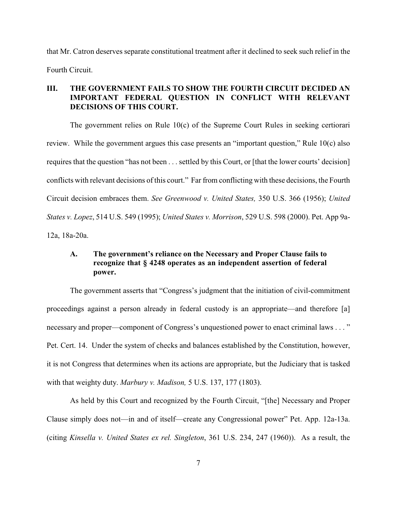that Mr. Catron deserves separate constitutional treatment after it declined to seek such relief in the Fourth Circuit.

### **III. THE GOVERNMENT FAILS TO SHOW THE FOURTH CIRCUIT DECIDED AN IMPORTANT FEDERAL QUESTION IN CONFLICT WITH RELEVANT DECISIONS OF THIS COURT.**

The government relies on Rule 10(c) of the Supreme Court Rules in seeking certiorari review. While the government argues this case presents an "important question," Rule 10(c) also requires that the question "has not been . . . settled by this Court, or [that the lower courts' decision] conflicts with relevant decisions of this court." Far from conflicting with these decisions, the Fourth Circuit decision embraces them. *See Greenwood v. United States,* 350 U.S. 366 (1956); *United States v. Lopez*, 514 U.S. 549 (1995); *United States v. Morrison*, 529 U.S. 598 (2000). Pet. App 9a-12a, 18a-20a.

### **A. The government's reliance on the Necessary and Proper Clause fails to recognize that § 4248 operates as an independent assertion of federal power.**

The government asserts that "Congress's judgment that the initiation of civil-commitment proceedings against a person already in federal custody is an appropriate—and therefore [a] necessary and proper—component of Congress's unquestioned power to enact criminal laws . . . " Pet. Cert. 14. Under the system of checks and balances established by the Constitution, however, it is not Congress that determines when its actions are appropriate, but the Judiciary that is tasked with that weighty duty. *Marbury v. Madison,* 5 U.S. 137, 177 (1803).

As held by this Court and recognized by the Fourth Circuit, "[the] Necessary and Proper Clause simply does not—in and of itself—create any Congressional power" Pet. App. 12a-13a. (citing *Kinsella v. United States ex rel. Singleton*, 361 U.S. 234, 247 (1960)). As a result, the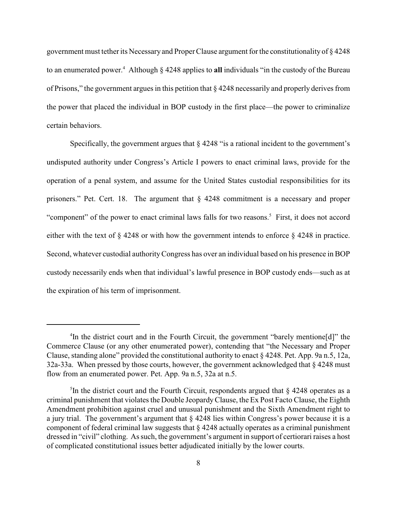government must tether its Necessary and Proper Clause argument for the constitutionality of § 4248 to an enumerated power.<sup>4</sup> Although § 4248 applies to **all** individuals "in the custody of the Bureau of Prisons," the government argues in this petition that § 4248 necessarily and properly derives from the power that placed the individual in BOP custody in the first place—the power to criminalize certain behaviors.

Specifically, the government argues that  $\frac{1}{2}$  4248 "is a rational incident to the government's undisputed authority under Congress's Article I powers to enact criminal laws, provide for the operation of a penal system, and assume for the United States custodial responsibilities for its prisoners." Pet. Cert. 18. The argument that § 4248 commitment is a necessary and proper "component" of the power to enact criminal laws falls for two reasons.<sup>5</sup> First, it does not accord either with the text of § 4248 or with how the government intends to enforce § 4248 in practice. Second, whatever custodial authority Congress has over an individual based on his presence in BOP custody necessarily ends when that individual's lawful presence in BOP custody ends—such as at the expiration of his term of imprisonment.

<sup>&</sup>lt;sup>4</sup>In the district court and in the Fourth Circuit, the government "barely mentione[d]" the Commerce Clause (or any other enumerated power), contending that "the Necessary and Proper Clause, standing alone" provided the constitutional authority to enact § 4248. Pet. App. 9a n.5, 12a, 32a-33a. When pressed by those courts, however, the government acknowledged that § 4248 must flow from an enumerated power. Pet. App. 9a n.5, 32a at n.5.

<sup>&</sup>lt;sup>5</sup>In the district court and the Fourth Circuit, respondents argued that  $\S$  4248 operates as a criminal punishment that violates the Double JeopardyClause, the Ex Post Facto Clause, the Eighth Amendment prohibition against cruel and unusual punishment and the Sixth Amendment right to a jury trial. The government's argument that § 4248 lies within Congress's power because it is a component of federal criminal law suggests that § 4248 actually operates as a criminal punishment dressed in "civil" clothing. Assuch, the government's argument in support of certiorari raises a host of complicated constitutional issues better adjudicated initially by the lower courts.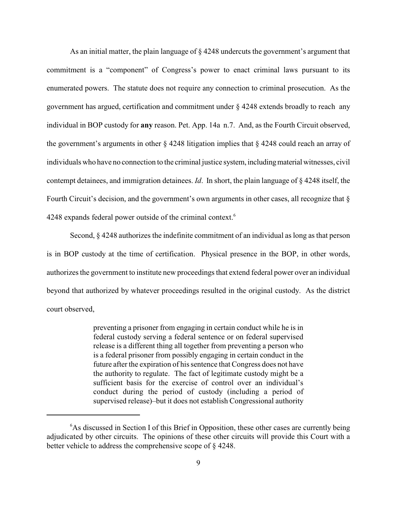As an initial matter, the plain language of § 4248 undercuts the government's argument that commitment is a "component" of Congress's power to enact criminal laws pursuant to its enumerated powers. The statute does not require any connection to criminal prosecution. As the government has argued, certification and commitment under § 4248 extends broadly to reach any individual in BOP custody for **any** reason. Pet. App. 14a n.7. And, as the Fourth Circuit observed, the government's arguments in other § 4248 litigation implies that § 4248 could reach an array of individuals who have no connection to the criminal justice system, including material witnesses, civil contempt detainees, and immigration detainees. *Id*. In short, the plain language of § 4248 itself, the Fourth Circuit's decision, and the government's own arguments in other cases, all recognize that  $\S$ 4248 expands federal power outside of the criminal context.<sup>6</sup>

Second, § 4248 authorizes the indefinite commitment of an individual as long as that person is in BOP custody at the time of certification. Physical presence in the BOP, in other words, authorizes the government to institute new proceedings that extend federal power over an individual beyond that authorized by whatever proceedings resulted in the original custody. As the district court observed,

> preventing a prisoner from engaging in certain conduct while he is in federal custody serving a federal sentence or on federal supervised release is a different thing all together from preventing a person who is a federal prisoner from possibly engaging in certain conduct in the future after the expiration of his sentence that Congress does not have the authority to regulate. The fact of legitimate custody might be a sufficient basis for the exercise of control over an individual's conduct during the period of custody (including a period of supervised release)–but it does not establish Congressional authority

 $6$ As discussed in Section I of this Brief in Opposition, these other cases are currently being adjudicated by other circuits. The opinions of these other circuits will provide this Court with a better vehicle to address the comprehensive scope of § 4248.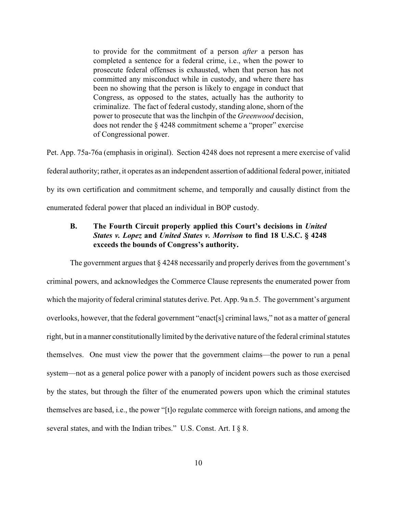to provide for the commitment of a person *after* a person has completed a sentence for a federal crime, i.e., when the power to prosecute federal offenses is exhausted, when that person has not committed any misconduct while in custody, and where there has been no showing that the person is likely to engage in conduct that Congress, as opposed to the states, actually has the authority to criminalize. The fact of federal custody, standing alone, shorn of the power to prosecute that was the linchpin of the *Greenwood* decision, does not render the § 4248 commitment scheme a "proper" exercise of Congressional power.

Pet. App. 75a-76a (emphasis in original). Section 4248 does not represent a mere exercise of valid federal authority; rather, it operates as an independent assertion of additional federal power, initiated by its own certification and commitment scheme, and temporally and causally distinct from the enumerated federal power that placed an individual in BOP custody.

# **B. The Fourth Circuit properly applied this Court's decisions in** *United States v. Lopez* **and** *United States v. Morrison* **to find 18 U.S.C. § 4248 exceeds the bounds of Congress's authority.**

The government argues that § 4248 necessarily and properly derives from the government's criminal powers, and acknowledges the Commerce Clause represents the enumerated power from which the majority of federal criminal statutes derive. Pet. App. 9a n.5. The government's argument overlooks, however, that the federal government "enact[s] criminal laws," not as a matter of general right, but in a manner constitutionally limited by the derivative nature of the federal criminal statutes themselves. One must view the power that the government claims—the power to run a penal system—not as a general police power with a panoply of incident powers such as those exercised by the states, but through the filter of the enumerated powers upon which the criminal statutes themselves are based, i.e., the power "[t]o regulate commerce with foreign nations, and among the several states, and with the Indian tribes." U.S. Const. Art. I § 8.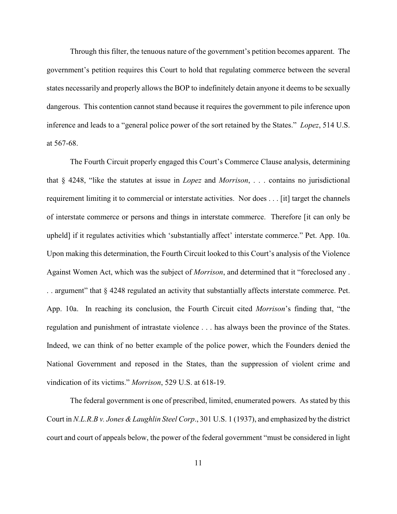Through this filter, the tenuous nature of the government's petition becomes apparent. The government's petition requires this Court to hold that regulating commerce between the several states necessarily and properly allows the BOP to indefinitely detain anyone it deems to be sexually dangerous. This contention cannot stand because it requires the government to pile inference upon inference and leads to a "general police power of the sort retained by the States." *Lopez*, 514 U.S. at 567-68.

The Fourth Circuit properly engaged this Court's Commerce Clause analysis, determining that § 4248, "like the statutes at issue in *Lopez* and *Morrison*, . . . contains no jurisdictional requirement limiting it to commercial or interstate activities. Nor does . . . [it] target the channels of interstate commerce or persons and things in interstate commerce. Therefore [it can only be upheld] if it regulates activities which 'substantially affect' interstate commerce." Pet. App. 10a. Upon making this determination, the Fourth Circuit looked to this Court's analysis of the Violence Against Women Act, which was the subject of *Morrison*, and determined that it "foreclosed any . . . argument" that § 4248 regulated an activity that substantially affects interstate commerce. Pet. App. 10a. In reaching its conclusion, the Fourth Circuit cited *Morrison*'s finding that, "the regulation and punishment of intrastate violence . . . has always been the province of the States. Indeed, we can think of no better example of the police power, which the Founders denied the National Government and reposed in the States, than the suppression of violent crime and vindication of its victims." *Morrison*, 529 U.S. at 618-19.

The federal government is one of prescribed, limited, enumerated powers. As stated by this Court in *N.L.R.B v. Jones & Laughlin Steel Corp*., 301 U.S. 1 (1937), and emphasized by the district court and court of appeals below, the power of the federal government "must be considered in light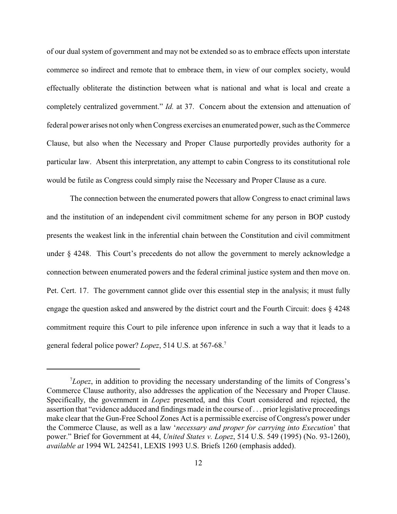of our dual system of government and may not be extended so as to embrace effects upon interstate commerce so indirect and remote that to embrace them, in view of our complex society, would effectually obliterate the distinction between what is national and what is local and create a completely centralized government." *Id.* at 37. Concern about the extension and attenuation of federal power arises not onlywhen Congress exercises an enumerated power, such as the Commerce Clause, but also when the Necessary and Proper Clause purportedly provides authority for a particular law. Absent this interpretation, any attempt to cabin Congress to its constitutional role would be futile as Congress could simply raise the Necessary and Proper Clause as a cure.

The connection between the enumerated powers that allow Congress to enact criminal laws and the institution of an independent civil commitment scheme for any person in BOP custody presents the weakest link in the inferential chain between the Constitution and civil commitment under § 4248. This Court's precedents do not allow the government to merely acknowledge a connection between enumerated powers and the federal criminal justice system and then move on. Pet. Cert. 17. The government cannot glide over this essential step in the analysis; it must fully engage the question asked and answered by the district court and the Fourth Circuit: does § 4248 commitment require this Court to pile inference upon inference in such a way that it leads to a general federal police power? *Lopez*, 514 U.S. at 567-68.7

 $^7$ *Lopez*, in addition to providing the necessary understanding of the limits of Congress's Commerce Clause authority, also addresses the application of the Necessary and Proper Clause. Specifically, the government in *Lopez* presented, and this Court considered and rejected, the assertion that "evidence adduced and findings made in the course of . . . prior legislative proceedings make clear that the Gun-Free School Zones Act is a permissible exercise of Congress's power under the Commerce Clause, as well as a law '*necessary and proper for carrying into Execution*' that power." Brief for Government at 44, *United States v. Lopez*, 514 U.S. 549 (1995) (No. 93-1260), *available at* 1994 WL 242541, LEXIS 1993 U.S. Briefs 1260 (emphasis added).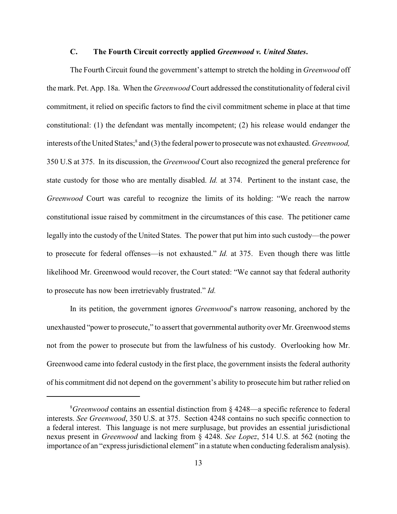#### **C. The Fourth Circuit correctly applied** *Greenwood v. United States***.**

The Fourth Circuit found the government's attempt to stretch the holding in *Greenwood* off the mark. Pet. App. 18a. When the *Greenwood* Court addressed the constitutionality of federal civil commitment, it relied on specific factors to find the civil commitment scheme in place at that time constitutional: (1) the defendant was mentally incompetent; (2) his release would endanger the interests of the United States;<sup>8</sup> and (3) the federal power to prosecute was not exhausted. *Greenwood*, 350 U.S at 375. In its discussion, the *Greenwood* Court also recognized the general preference for state custody for those who are mentally disabled. *Id.* at 374. Pertinent to the instant case, the *Greenwood* Court was careful to recognize the limits of its holding: "We reach the narrow constitutional issue raised by commitment in the circumstances of this case. The petitioner came legally into the custody of the United States. The power that put him into such custody—the power to prosecute for federal offenses—is not exhausted." *Id.* at 375. Even though there was little likelihood Mr. Greenwood would recover, the Court stated: "We cannot say that federal authority to prosecute has now been irretrievably frustrated." *Id.*

In its petition, the government ignores *Greenwood*'s narrow reasoning, anchored by the unexhausted "power to prosecute," to assert that governmental authority over Mr. Greenwood stems not from the power to prosecute but from the lawfulness of his custody. Overlooking how Mr. Greenwood came into federal custody in the first place, the government insists the federal authority of his commitment did not depend on the government's ability to prosecute him but rather relied on

 ${}^{8}$ Greenwood contains an essential distinction from  $\S$  4248—a specific reference to federal interests. *See Greenwood*, 350 U.S. at 375. Section 4248 contains no such specific connection to a federal interest. This language is not mere surplusage, but provides an essential jurisdictional nexus present in *Greenwood* and lacking from § 4248. *See Lopez*, 514 U.S. at 562 (noting the importance of an "express jurisdictional element" in a statute when conducting federalism analysis).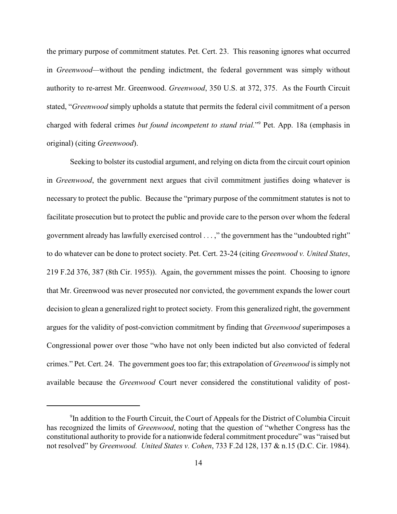the primary purpose of commitment statutes. Pet. Cert. 23. This reasoning ignores what occurred in *Greenwood—*without the pending indictment, the federal government was simply without authority to re-arrest Mr. Greenwood. *Greenwood*, 350 U.S. at 372, 375. As the Fourth Circuit stated, "*Greenwood* simply upholds a statute that permits the federal civil commitment of a person charged with federal crimes *but found incompetent to stand trial.*" Pet. App. 18a (emphasis in <sup>9</sup> original) (citing *Greenwood*).

Seeking to bolster its custodial argument, and relying on dicta from the circuit court opinion in *Greenwood*, the government next argues that civil commitment justifies doing whatever is necessary to protect the public. Because the "primary purpose of the commitment statutes is not to facilitate prosecution but to protect the public and provide care to the person over whom the federal government already has lawfully exercised control . . . ," the government has the "undoubted right" to do whatever can be done to protect society. Pet. Cert. 23-24 (citing *Greenwood v. United States*, 219 F.2d 376, 387 (8th Cir. 1955)). Again, the government misses the point. Choosing to ignore that Mr. Greenwood was never prosecuted nor convicted, the government expands the lower court decision to glean a generalized right to protect society. From this generalized right, the government argues for the validity of post-conviction commitment by finding that *Greenwood* superimposes a Congressional power over those "who have not only been indicted but also convicted of federal crimes." Pet. Cert. 24. The government goes too far; this extrapolation of *Greenwood* is simply not available because the *Greenwood* Court never considered the constitutional validity of post-

 $9$ In addition to the Fourth Circuit, the Court of Appeals for the District of Columbia Circuit has recognized the limits of *Greenwood*, noting that the question of "whether Congress has the constitutional authority to provide for a nationwide federal commitment procedure" was "raised but not resolved" by *Greenwood. United States v. Cohen*, 733 F.2d 128, 137 & n.15 (D.C. Cir. 1984).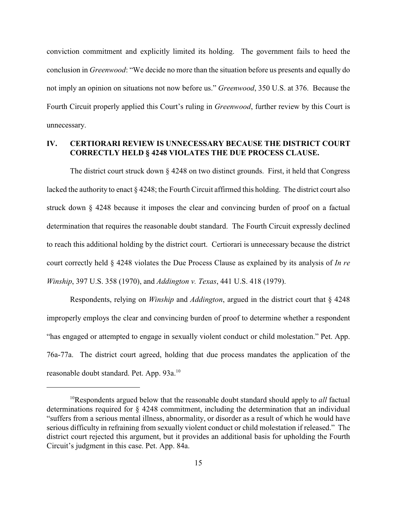conviction commitment and explicitly limited its holding. The government fails to heed the conclusion in *Greenwood*: "We decide no more than the situation before us presents and equally do not imply an opinion on situations not now before us." *Greenwood*, 350 U.S. at 376. Because the Fourth Circuit properly applied this Court's ruling in *Greenwood*, further review by this Court is unnecessary.

# **IV. CERTIORARI REVIEW IS UNNECESSARY BECAUSE THE DISTRICT COURT CORRECTLY HELD § 4248 VIOLATES THE DUE PROCESS CLAUSE.**

The district court struck down § 4248 on two distinct grounds. First, it held that Congress lacked the authority to enact § 4248; the Fourth Circuit affirmed this holding. The district court also struck down § 4248 because it imposes the clear and convincing burden of proof on a factual determination that requires the reasonable doubt standard. The Fourth Circuit expressly declined to reach this additional holding by the district court. Certiorari is unnecessary because the district court correctly held § 4248 violates the Due Process Clause as explained by its analysis of *In re Winship*, 397 U.S. 358 (1970), and *Addington v. Texas*, 441 U.S. 418 (1979).

Respondents, relying on *Winship* and *Addington*, argued in the district court that § 4248 improperly employs the clear and convincing burden of proof to determine whether a respondent "has engaged or attempted to engage in sexually violent conduct or child molestation." Pet. App. 76a-77a. The district court agreed, holding that due process mandates the application of the reasonable doubt standard. Pet. App. 93a.<sup>10</sup>

 $10$ Respondents argued below that the reasonable doubt standard should apply to *all* factual determinations required for § 4248 commitment, including the determination that an individual "suffers from a serious mental illness, abnormality, or disorder as a result of which he would have serious difficulty in refraining from sexually violent conduct or child molestation if released." The district court rejected this argument, but it provides an additional basis for upholding the Fourth Circuit's judgment in this case. Pet. App. 84a.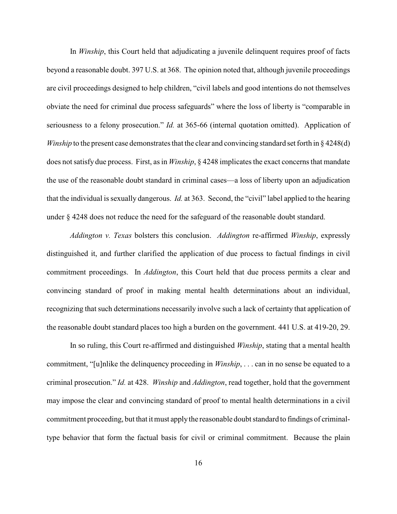In *Winship*, this Court held that adjudicating a juvenile delinquent requires proof of facts beyond a reasonable doubt. 397 U.S. at 368. The opinion noted that, although juvenile proceedings are civil proceedings designed to help children, "civil labels and good intentions do not themselves obviate the need for criminal due process safeguards" where the loss of liberty is "comparable in seriousness to a felony prosecution." *Id.* at 365-66 (internal quotation omitted). Application of *Winship* to the present case demonstrates that the clear and convincing standard set forth in § 4248(d) does not satisfy due process. First, as in *Winship*, § 4248 implicates the exact concerns that mandate the use of the reasonable doubt standard in criminal cases—a loss of liberty upon an adjudication that the individual is sexually dangerous. *Id.* at 363. Second, the "civil" label applied to the hearing under § 4248 does not reduce the need for the safeguard of the reasonable doubt standard.

*Addington v. Texas* bolsters this conclusion. *Addington* re-affirmed *Winship*, expressly distinguished it, and further clarified the application of due process to factual findings in civil commitment proceedings. In *Addington*, this Court held that due process permits a clear and convincing standard of proof in making mental health determinations about an individual, recognizing that such determinations necessarily involve such a lack of certainty that application of the reasonable doubt standard places too high a burden on the government. 441 U.S. at 419-20, 29.

In so ruling, this Court re-affirmed and distinguished *Winship*, stating that a mental health commitment, "[u]nlike the delinquency proceeding in *Winship*, . . . can in no sense be equated to a criminal prosecution." *Id.* at 428. *Winship* and *Addington*, read together, hold that the government may impose the clear and convincing standard of proof to mental health determinations in a civil commitment proceeding, but that it must apply the reasonable doubt standard to findings of criminaltype behavior that form the factual basis for civil or criminal commitment. Because the plain